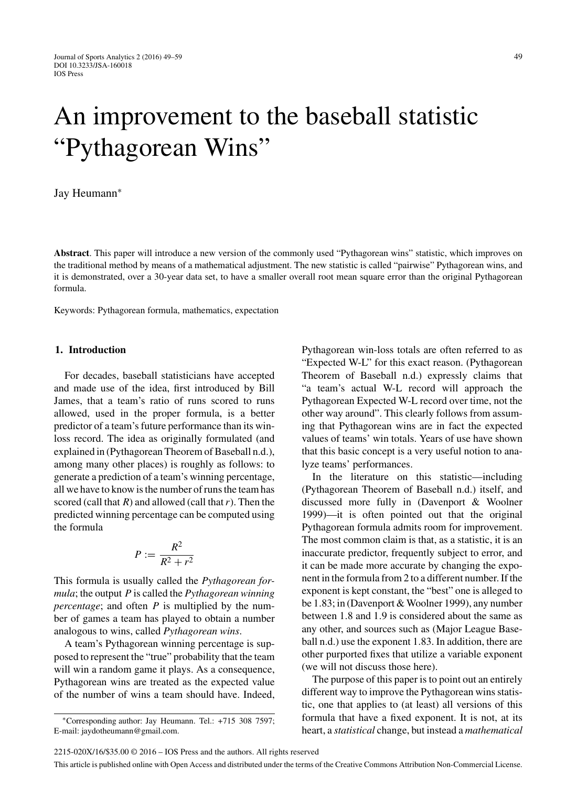# An improvement to the baseball statistic "Pythagorean Wins"

Jay Heumann<sup>∗</sup>

**Abstract**. This paper will introduce a new version of the commonly used "Pythagorean wins" statistic, which improves on the traditional method by means of a mathematical adjustment. The new statistic is called "pairwise" Pythagorean wins, and it is demonstrated, over a 30-year data set, to have a smaller overall root mean square error than the original Pythagorean formula.

Keywords: Pythagorean formula, mathematics, expectation

## **1. Introduction**

For decades, baseball statisticians have accepted and made use of the idea, first introduced by Bill James, that a team's ratio of runs scored to runs allowed, used in the proper formula, is a better predictor of a team's future performance than its winloss record. The idea as originally formulated (and explained in (Pythagorean Theorem of Baseball n.d.), among many other places) is roughly as follows: to generate a prediction of a team's winning percentage, all we have to know is the number of runs the team has scored (call that  $R$ ) and allowed (call that  $r$ ). Then the predicted winning percentage can be computed using the formula

$$
P := \frac{R^2}{R^2 + r^2}
$$

This formula is usually called the *Pythagorean formula*; the output P is called the *Pythagorean winning percentage*; and often *P* is multiplied by the number of games a team has played to obtain a number analogous to wins, called *Pythagorean wins*.

A team's Pythagorean winning percentage is supposed to represent the "true" probability that the team will win a random game it plays. As a consequence, Pythagorean wins are treated as the expected value of the number of wins a team should have. Indeed,

Pythagorean win-loss totals are often referred to as "Expected W-L" for this exact reason. (Pythagorean Theorem of Baseball n.d.) expressly claims that "a team's actual W-L record will approach the Pythagorean Expected W-L record over time, not the other way around". This clearly follows from assuming that Pythagorean wins are in fact the expected values of teams' win totals. Years of use have shown that this basic concept is a very useful notion to analyze teams' performances.

In the literature on this statistic—including (Pythagorean Theorem of Baseball n.d.) itself, and discussed more fully in (Davenport & Woolner 1999)—it is often pointed out that the original Pythagorean formula admits room for improvement. The most common claim is that, as a statistic, it is an inaccurate predictor, frequently subject to error, and it can be made more accurate by changing the exponent in the formula from 2 to a different number. If the exponent is kept constant, the "best" one is alleged to be 1.83; in (Davenport & Woolner 1999), any number between 1.8 and 1.9 is considered about the same as any other, and sources such as (Major League Baseball n.d.) use the exponent 1.83. In addition, there are other purported fixes that utilize a variable exponent (we will not discuss those here).

The purpose of this paper is to point out an entirely different way to improve the Pythagorean wins statistic, one that applies to (at least) all versions of this formula that have a fixed exponent. It is not, at its heart, a *statistical* change, but instead a *mathematical*

<sup>∗</sup>Corresponding author: Jay Heumann. Tel.: +715 308 7597; E-mail: [jaydotheumann@gmail.com](mailto:jaydotheumann@gmail.com).

<sup>2215-020</sup>X/16/\$35.00 © 2016 – IOS Press and the authors. All rights reserved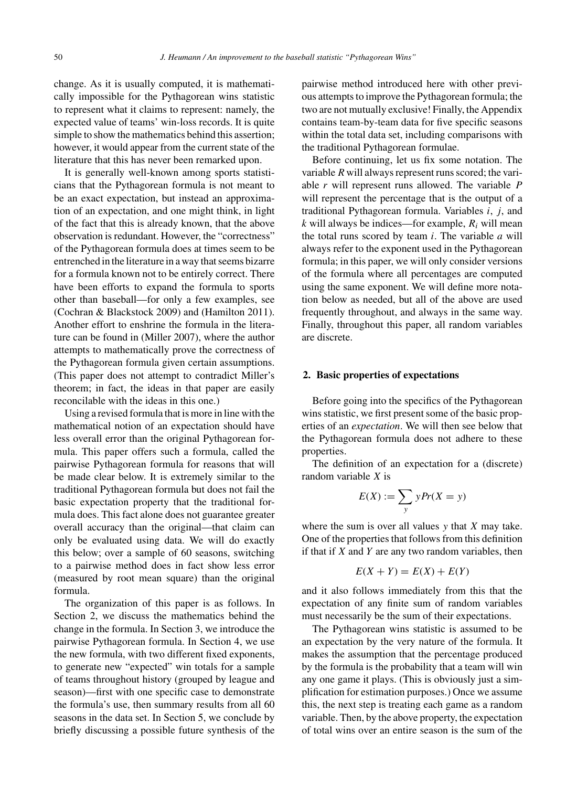change. As it is usually computed, it is mathematically impossible for the Pythagorean wins statistic to represent what it claims to represent: namely, the expected value of teams' win-loss records. It is quite simple to show the mathematics behind this assertion; however, it would appear from the current state of the literature that this has never been remarked upon.

It is generally well-known among sports statisticians that the Pythagorean formula is not meant to be an exact expectation, but instead an approximation of an expectation, and one might think, in light of the fact that this is already known, that the above observation is redundant. However, the "correctness" of the Pythagorean formula does at times seem to be entrenched in the literature in a way that seems bizarre for a formula known not to be entirely correct. There have been efforts to expand the formula to sports other than baseball—for only a few examples, see (Cochran & Blackstock 2009) and (Hamilton 2011). Another effort to enshrine the formula in the literature can be found in (Miller 2007), where the author attempts to mathematically prove the correctness of the Pythagorean formula given certain assumptions. (This paper does not attempt to contradict Miller's theorem; in fact, the ideas in that paper are easily reconcilable with the ideas in this one.)

Using a revised formula that is more in line with the mathematical notion of an expectation should have less overall error than the original Pythagorean formula. This paper offers such a formula, called the pairwise Pythagorean formula for reasons that will be made clear below. It is extremely similar to the traditional Pythagorean formula but does not fail the basic expectation property that the traditional formula does. This fact alone does not guarantee greater overall accuracy than the original—that claim can only be evaluated using data. We will do exactly this below; over a sample of 60 seasons, switching to a pairwise method does in fact show less error (measured by root mean square) than the original formula.

The organization of this paper is as follows. In Section 2, we discuss the mathematics behind the change in the formula. In Section 3, we introduce the pairwise Pythagorean formula. In Section 4, we use the new formula, with two different fixed exponents, to generate new "expected" win totals for a sample of teams throughout history (grouped by league and season)—first with one specific case to demonstrate the formula's use, then summary results from all 60 seasons in the data set. In Section 5, we conclude by briefly discussing a possible future synthesis of the

pairwise method introduced here with other previous attempts to improve the Pythagorean formula; the two are not mutually exclusive! Finally, the Appendix contains team-by-team data for five specific seasons within the total data set, including comparisons with the traditional Pythagorean formulae.

Before continuing, let us fix some notation. The variable R will always represent runs scored; the variable  $r$  will represent runs allowed. The variable  $P$ will represent the percentage that is the output of a traditional Pythagorean formula. Variables  $i$ ,  $j$ , and  $k$  will always be indices—for example,  $R_i$  will mean the total runs scored by team  $i$ . The variable  $a$  will always refer to the exponent used in the Pythagorean formula; in this paper, we will only consider versions of the formula where all percentages are computed using the same exponent. We will define more notation below as needed, but all of the above are used frequently throughout, and always in the same way. Finally, throughout this paper, all random variables are discrete.

#### **2. Basic properties of expectations**

Before going into the specifics of the Pythagorean wins statistic, we first present some of the basic properties of an *expectation*. We will then see below that the Pythagorean formula does not adhere to these properties.

The definition of an expectation for a (discrete) random variable X is

$$
E(X) := \sum_{y} y Pr(X = y)
$$

where the sum is over all values  $y$  that  $X$  may take. One of the properties that follows from this definition if that if  $X$  and  $Y$  are any two random variables, then

$$
E(X+Y) = E(X) + E(Y)
$$

and it also follows immediately from this that the expectation of any finite sum of random variables must necessarily be the sum of their expectations.

The Pythagorean wins statistic is assumed to be an expectation by the very nature of the formula. It makes the assumption that the percentage produced by the formula is the probability that a team will win any one game it plays. (This is obviously just a simplification for estimation purposes.) Once we assume this, the next step is treating each game as a random variable. Then, by the above property, the expectation of total wins over an entire season is the sum of the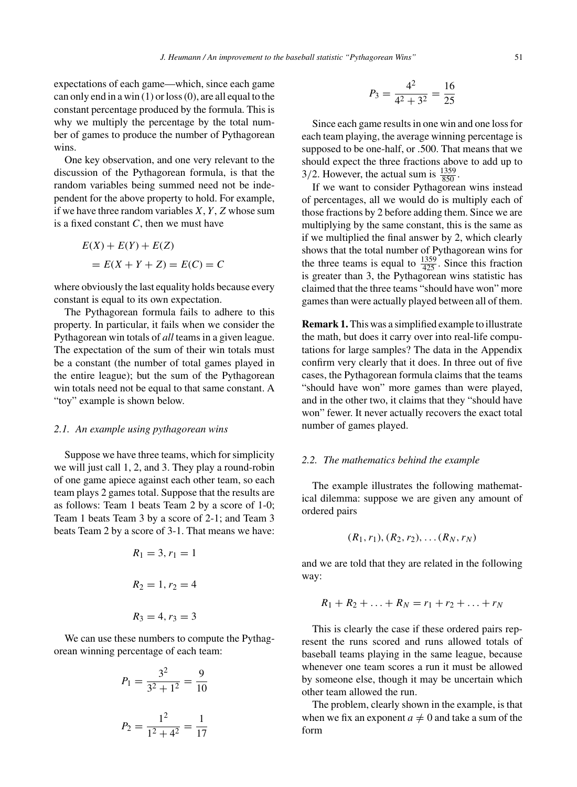expectations of each game—which, since each game can only end in a win (1) or loss (0), are all equal to the constant percentage produced by the formula. This is why we multiply the percentage by the total number of games to produce the number of Pythagorean wins.

One key observation, and one very relevant to the discussion of the Pythagorean formula, is that the random variables being summed need not be independent for the above property to hold. For example, if we have three random variables  $X, Y, Z$  whose sum is a fixed constant  $C$ , then we must have

$$
E(X) + E(Y) + E(Z)
$$

$$
= E(X + Y + Z) = E(C) = C
$$

where obviously the last equality holds because every constant is equal to its own expectation.

The Pythagorean formula fails to adhere to this property. In particular, it fails when we consider the Pythagorean win totals of *all* teams in a given league. The expectation of the sum of their win totals must be a constant (the number of total games played in the entire league); but the sum of the Pythagorean win totals need not be equal to that same constant. A "toy" example is shown below.

#### *2.1. An example using pythagorean wins*

Suppose we have three teams, which for simplicity we will just call 1, 2, and 3. They play a round-robin of one game apiece against each other team, so each team plays 2 games total. Suppose that the results are as follows: Team 1 beats Team 2 by a score of 1-0; Team 1 beats Team 3 by a score of 2-1; and Team 3 beats Team 2 by a score of 3-1. That means we have:

$$
R_1 = 3, r_1 = 1
$$
  

$$
R_2 = 1, r_2 = 4
$$
  

$$
R_3 = 4, r_3 = 3
$$

We can use these numbers to compute the Pythagorean winning percentage of each team:

$$
P_1 = \frac{3^2}{3^2 + 1^2} = \frac{9}{10}
$$

$$
P_2 = \frac{1^2}{1^2 + 4^2} = \frac{1}{17}
$$

$$
P_3 = \frac{4^2}{4^2 + 3^2} = \frac{16}{25}
$$

Since each game results in one win and one loss for each team playing, the average winning percentage is supposed to be one-half, or .500. That means that we should expect the three fractions above to add up to  $3/2$ . However, the actual sum is  $\frac{1359}{850}$ .

If we want to consider Pythagorean wins instead of percentages, all we would do is multiply each of those fractions by 2 before adding them. Since we are multiplying by the same constant, this is the same as if we multiplied the final answer by 2, which clearly shows that the total number of Pythagorean wins for the three teams is equal to  $\frac{1359}{425}$ . Since this fraction is greater than 3, the Pythagorean wins statistic has claimed that the three teams "should have won" more games than were actually played between all of them.

**Remark 1.** This was a simplified example to illustrate the math, but does it carry over into real-life computations for large samples? The data in the Appendix confirm very clearly that it does. In three out of five cases, the Pythagorean formula claims that the teams "should have won" more games than were played, and in the other two, it claims that they "should have won" fewer. It never actually recovers the exact total number of games played.

## *2.2. The mathematics behind the example*

The example illustrates the following mathematical dilemma: suppose we are given any amount of ordered pairs

$$
(R_1, r_1), (R_2, r_2), \ldots (R_N, r_N)
$$

and we are told that they are related in the following way:

$$
R_1 + R_2 + \ldots + R_N = r_1 + r_2 + \ldots + r_N
$$

This is clearly the case if these ordered pairs represent the runs scored and runs allowed totals of baseball teams playing in the same league, because whenever one team scores a run it must be allowed by someone else, though it may be uncertain which other team allowed the run.

The problem, clearly shown in the example, is that when we fix an exponent  $a \neq 0$  and take a sum of the form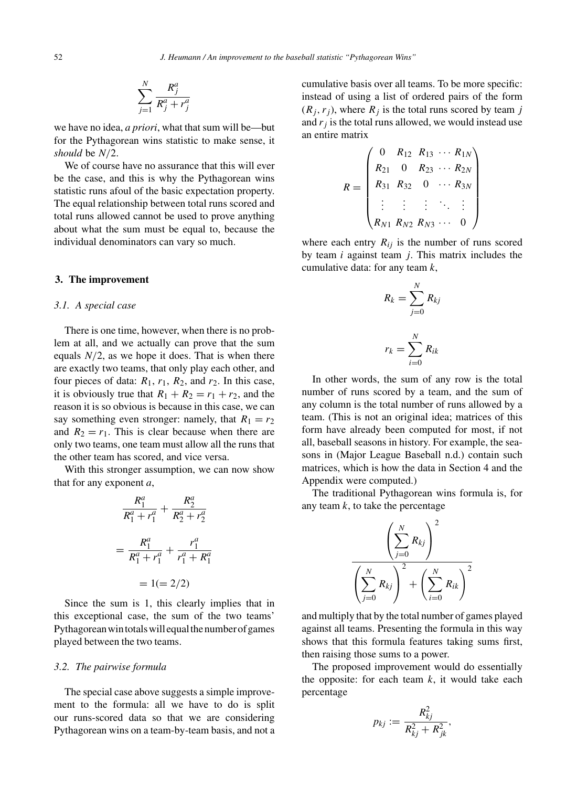$$
\sum_{j=1}^{N} \frac{R_j^a}{R_j^a + r_j^a}
$$

we have no idea, *a priori*, what that sum will be—but for the Pythagorean wins statistic to make sense, it *should* be N/2.

We of course have no assurance that this will ever be the case, and this is why the Pythagorean wins statistic runs afoul of the basic expectation property. The equal relationship between total runs scored and total runs allowed cannot be used to prove anything about what the sum must be equal to, because the individual denominators can vary so much.

#### **3. The improvement**

#### *3.1. A special case*

There is one time, however, when there is no problem at all, and we actually can prove that the sum equals  $N/2$ , as we hope it does. That is when there are exactly two teams, that only play each other, and four pieces of data:  $R_1$ ,  $r_1$ ,  $R_2$ , and  $r_2$ . In this case, it is obviously true that  $R_1 + R_2 = r_1 + r_2$ , and the reason it is so obvious is because in this case, we can say something even stronger: namely, that  $R_1 = r_2$ and  $R_2 = r_1$ . This is clear because when there are only two teams, one team must allow all the runs that the other team has scored, and vice versa.

With this stronger assumption, we can now show that for any exponent  $a$ ,

$$
\frac{R_1^a}{R_1^a + r_1^a} + \frac{R_2^a}{R_2^a + r_2^a}
$$

$$
= \frac{R_1^a}{R_1^a + r_1^a} + \frac{r_1^a}{r_1^a + r_1^a}
$$

$$
= 1 (= 2/2)
$$

Since the sum is 1, this clearly implies that in this exceptional case, the sum of the two teams' Pythagorean win totals will equal the number of games played between the two teams.

## *3.2. The pairwise formula*

The special case above suggests a simple improvement to the formula: all we have to do is split our runs-scored data so that we are considering Pythagorean wins on a team-by-team basis, and not a cumulative basis over all teams. To be more specific: instead of using a list of ordered pairs of the form  $(R<sub>i</sub>, r<sub>i</sub>)$ , where  $R<sub>i</sub>$  is the total runs scored by team j and  $r_i$  is the total runs allowed, we would instead use an entire matrix

$$
R = \begin{pmatrix} 0 & R_{12} & R_{13} & \cdots & R_{1N} \\ R_{21} & 0 & R_{23} & \cdots & R_{2N} \\ R_{31} & R_{32} & 0 & \cdots & R_{3N} \\ \vdots & \vdots & \vdots & \ddots & \vdots \\ R_{N1} & R_{N2} & R_{N3} & \cdots & 0 \end{pmatrix}
$$

where each entry  $R_{ij}$  is the number of runs scored by team  $i$  against team  $j$ . This matrix includes the cumulative data: for any team  $k$ ,

$$
R_k = \sum_{j=0}^{N} R_{kj}
$$

$$
r_k = \sum_{i=0}^{N} R_{ik}
$$

In other words, the sum of any row is the total number of runs scored by a team, and the sum of any column is the total number of runs allowed by a team. (This is not an original idea; matrices of this form have already been computed for most, if not all, baseball seasons in history. For example, the seasons in (Major League Baseball n.d.) contain such matrices, which is how the data in Section 4 and the Appendix were computed.)

The traditional Pythagorean wins formula is, for any team  $k$ , to take the percentage



and multiply that by the total number of games played against all teams. Presenting the formula in this way shows that this formula features taking sums first, then raising those sums to a power.

The proposed improvement would do essentially the opposite: for each team  $k$ , it would take each percentage

$$
p_{kj} := \frac{R_{kj}^2}{R_{kj}^2 + R_{jk}^2},
$$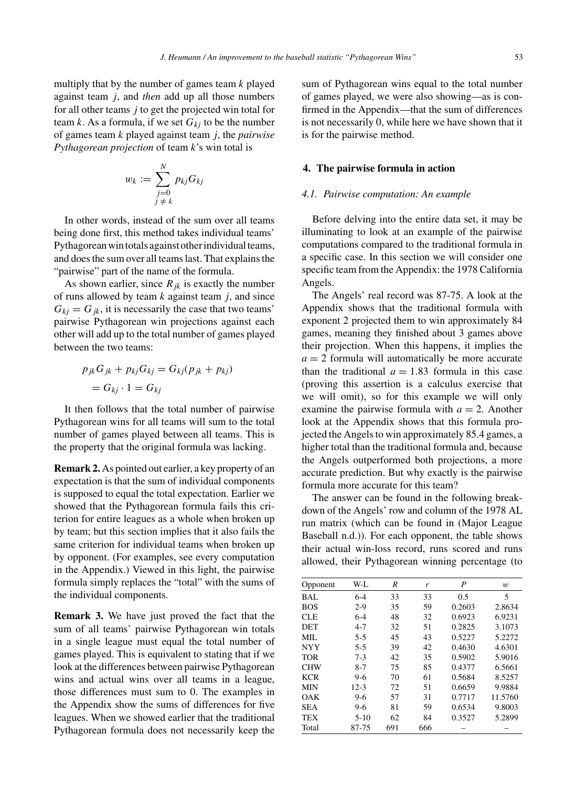multiply that by the number of games team  $k$  played against team j, and *then* add up all those numbers for all other teams  $i$  to get the projected win total for team k. As a formula, if we set  $G_{ki}$  to be the number of games team k played against team j, the *pairwise Pythagorean projection* of team k's win total is

$$
w_k := \sum_{\substack{j=0\\j\neq k}}^N p_{kj} G_{kj}
$$

In other words, instead of the sum over all teams being done first, this method takes individual teams' Pythagorean win totals against other individual teams, and does the sum over all teams last. That explains the "pairwise" part of the name of the formula.

As shown earlier, since  $R_{jk}$  is exactly the number of runs allowed by team  $k$  against team  $j$ , and since  $G_{ki} = G_{ik}$ , it is necessarily the case that two teams' pairwise Pythagorean win projections against each other will add up to the total number of games played between the two teams:

$$
p_{jk}G_{jk} + p_{kj}G_{kj} = G_{kj}(p_{jk} + p_{kj})
$$

$$
= G_{kj} \cdot 1 = G_{kj}
$$

It then follows that the total number of pairwise Pythagorean wins for all teams will sum to the total number of games played between all teams. This is the property that the original formula was lacking.

**Remark 2.** As pointed out earlier, a key property of an expectation is that the sum of individual components is supposed to equal the total expectation. Earlier we showed that the Pythagorean formula fails this criterion for entire leagues as a whole when broken up by team; but this section implies that it also fails the same criterion for individual teams when broken up by opponent. (For examples, see every computation in the Appendix.) Viewed in this light, the pairwise formula simply replaces the "total" with the sums of the individual components.

**Remark 3.** We have just proved the fact that the sum of all teams' pairwise Pythagorean win totals in a single league must equal the total number of games played. This is equivalent to stating that if we look at the differences between pairwise Pythagorean wins and actual wins over all teams in a league, those differences must sum to 0. The examples in the Appendix show the sums of differences for five leagues. When we showed earlier that the traditional Pythagorean formula does not necessarily keep the

sum of Pythagorean wins equal to the total number of games played, we were also showing—as is confirmed in the Appendix—that the sum of differences is not necessarily 0, while here we have shown that it is for the pairwise method.

#### **4. The pairwise formula in action**

#### *4.1. Pairwise computation: An example*

Before delving into the entire data set, it may be illuminating to look at an example of the pairwise computations compared to the traditional formula in a specific case. In this section we will consider one specific team from the Appendix: the 1978 California Angels.

The Angels' real record was 87-75. A look at the Appendix shows that the traditional formula with exponent 2 projected them to win approximately 84 games, meaning they finished about 3 games above their projection. When this happens, it implies the  $a = 2$  formula will automatically be more accurate than the traditional  $a = 1.83$  formula in this case (proving this assertion is a calculus exercise that we will omit), so for this example we will only examine the pairwise formula with  $a = 2$ . Another look at the Appendix shows that this formula projected the Angels to win approximately 85.4 games, a higher total than the traditional formula and, because the Angels outperformed both projections, a more accurate prediction. But why exactly is the pairwise formula more accurate for this team?

The answer can be found in the following breakdown of the Angels' row and column of the 1978 AL run matrix (which can be found in (Major League Baseball n.d.)). For each opponent, the table shows their actual win-loss record, runs scored and runs allowed, their Pythagorean winning percentage (to

| Opponent   | W-L     | R   | r   | P      | $\boldsymbol{w}$ |
|------------|---------|-----|-----|--------|------------------|
| BAL        | $6 - 4$ | 33  | 33  | 0.5    | 5                |
| <b>BOS</b> | $2 - 9$ | 35  | 59  | 0.2603 | 2.8634           |
| <b>CLE</b> | $6 - 4$ | 48  | 32  | 0.6923 | 6.9231           |
| DET        | $4 - 7$ | 32  | 51  | 0.2825 | 3.1073           |
| MIL.       | $5 - 5$ | 45  | 43  | 0.5227 | 5.2272           |
| <b>NYY</b> | $5 - 5$ | 39  | 42  | 0.4630 | 4.6301           |
| <b>TOR</b> | $7 - 3$ | 42  | 35  | 0.5902 | 5.9016           |
| <b>CHW</b> | $8 - 7$ | 75  | 85  | 0.4377 | 6.5661           |
| <b>KCR</b> | $9-6$   | 70  | 61  | 0.5684 | 8.5257           |
| <b>MIN</b> | $12-3$  | 72  | 51  | 0.6659 | 9.9884           |
| <b>OAK</b> | $9-6$   | 57  | 31  | 0.7717 | 11.5760          |
| <b>SEA</b> | $9-6$   | 81  | 59  | 0.6534 | 9.8003           |
| <b>TEX</b> | $5-10$  | 62  | 84  | 0.3527 | 5.2899           |
| Total      | 87-75   | 691 | 666 |        |                  |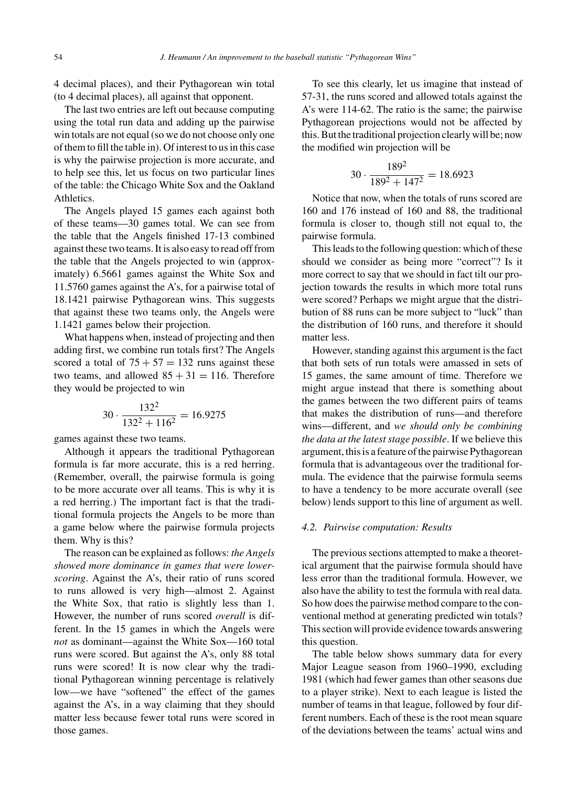4 decimal places), and their Pythagorean win total (to 4 decimal places), all against that opponent.

The last two entries are left out because computing using the total run data and adding up the pairwise win totals are not equal (so we do not choose only one of them to fill the table in). Of interest to us in this case is why the pairwise projection is more accurate, and to help see this, let us focus on two particular lines of the table: the Chicago White Sox and the Oakland Athletics.

The Angels played 15 games each against both of these teams—30 games total. We can see from the table that the Angels finished 17-13 combined against these two teams. It is also easy to read off from the table that the Angels projected to win (approximately) 6.5661 games against the White Sox and 11.5760 games against the A's, for a pairwise total of 18.1421 pairwise Pythagorean wins. This suggests that against these two teams only, the Angels were 1.1421 games below their projection.

What happens when, instead of projecting and then adding first, we combine run totals first? The Angels scored a total of  $75 + 57 = 132$  runs against these two teams, and allowed  $85 + 31 = 116$ . Therefore they would be projected to win

$$
30 \cdot \frac{132^2}{132^2 + 116^2} = 16.9275
$$

games against these two teams.

Although it appears the traditional Pythagorean formula is far more accurate, this is a red herring. (Remember, overall, the pairwise formula is going to be more accurate over all teams. This is why it is a red herring.) The important fact is that the traditional formula projects the Angels to be more than a game below where the pairwise formula projects them. Why is this?

The reason can be explained as follows: *the Angels showed more dominance in games that were lowerscoring*. Against the A's, their ratio of runs scored to runs allowed is very high—almost 2. Against the White Sox, that ratio is slightly less than 1. However, the number of runs scored *overall* is different. In the 15 games in which the Angels were *not* as dominant—against the White Sox—160 total runs were scored. But against the A's, only 88 total runs were scored! It is now clear why the traditional Pythagorean winning percentage is relatively low—we have "softened" the effect of the games against the A's, in a way claiming that they should matter less because fewer total runs were scored in those games.

To see this clearly, let us imagine that instead of 57-31, the runs scored and allowed totals against the A's were 114-62. The ratio is the same; the pairwise Pythagorean projections would not be affected by this. But the traditional projection clearly will be; now the modified win projection will be

$$
30 \cdot \frac{189^2}{189^2 + 147^2} = 18.6923
$$

Notice that now, when the totals of runs scored are 160 and 176 instead of 160 and 88, the traditional formula is closer to, though still not equal to, the pairwise formula.

This leads to the following question: which of these should we consider as being more "correct"? Is it more correct to say that we should in fact tilt our projection towards the results in which more total runs were scored? Perhaps we might argue that the distribution of 88 runs can be more subject to "luck" than the distribution of 160 runs, and therefore it should matter less.

However, standing against this argument is the fact that both sets of run totals were amassed in sets of 15 games, the same amount of time. Therefore we might argue instead that there is something about the games between the two different pairs of teams that makes the distribution of runs—and therefore wins—different, and *we should only be combining the data at the latest stage possible*. If we believe this argument, this is a feature of the pairwise Pythagorean formula that is advantageous over the traditional formula. The evidence that the pairwise formula seems to have a tendency to be more accurate overall (see below) lends support to this line of argument as well.

#### *4.2. Pairwise computation: Results*

The previous sections attempted to make a theoretical argument that the pairwise formula should have less error than the traditional formula. However, we also have the ability to test the formula with real data. So how does the pairwise method compare to the conventional method at generating predicted win totals? This section will provide evidence towards answering this question.

The table below shows summary data for every Major League season from 1960–1990, excluding 1981 (which had fewer games than other seasons due to a player strike). Next to each league is listed the number of teams in that league, followed by four different numbers. Each of these is the root mean square of the deviations between the teams' actual wins and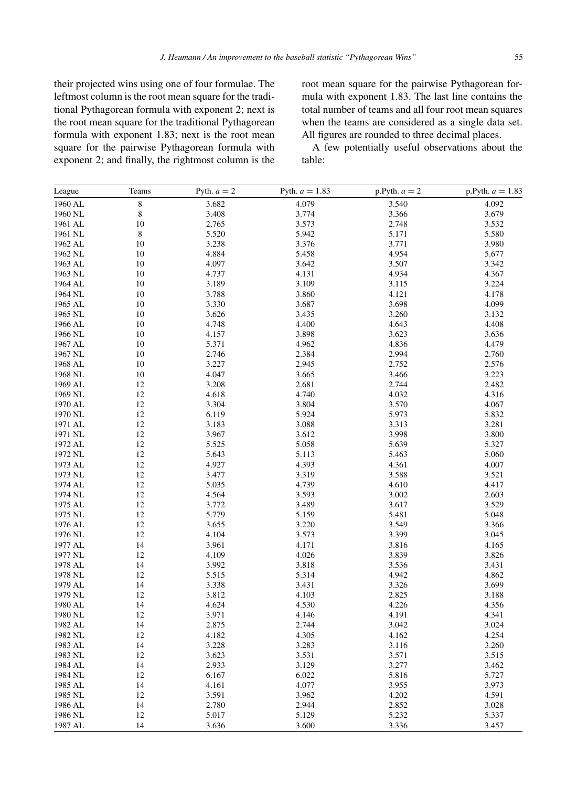their projected wins using one of four formulae. The leftmost column is the root mean square for the traditional Pythagorean formula with exponent 2; next is the root mean square for the traditional Pythagorean formula with exponent 1.83; next is the root mean square for the pairwise Pythagorean formula with exponent 2; and finally, the rightmost column is the root mean square for the pairwise Pythagorean formula with exponent 1.83. The last line contains the total number of teams and all four root mean squares when the teams are considered as a single data set. All figures are rounded to three decimal places.

A few potentially useful observations about the table:

| League             | Teams       | Pyth. $a = 2$  | Pyth. $a = 1.83$ | p. Pyth. $a = 2$ | p. Pyth. $a = 1.83$ |
|--------------------|-------------|----------------|------------------|------------------|---------------------|
| 1960 AL            | 8           | 3.682          | 4.079            | 3.540            | 4.092               |
| 1960 NL            | 8           | 3.408          | 3.774            | 3.366            | 3.679               |
| 1961 AL            | 10          | 2.765          | 3.573            | 2.748            | 3.532               |
| 1961 NL            | $\,$ 8 $\,$ | 5.520          | 5.942            | 5.171            | 5.580               |
| 1962 AL            | 10          | 3.238          | 3.376            | 3.771            | 3.980               |
| 1962 NL            | 10          | 4.884          | 5.458            | 4.954            | 5.677               |
| 1963 AL            | 10          | 4.097          | 3.642            | 3.507            | 3.342               |
| 1963 NL            | 10          | 4.737          | 4.131            | 4.934            | 4.367               |
| 1964 AL            | 10          | 3.189          | 3.109            | 3.115            | 3.224               |
| 1964 NL            | 10          | 3.788          | 3.860            | 4.121            | 4.178               |
| 1965 AL            | 10          | 3.330          | 3.687            | 3.698            | 4.099               |
| 1965 NL            | 10          | 3.626          | 3.435            | 3.260            | 3.132               |
| 1966 AL            | 10          | 4.748          | 4.400            | 4.643            | 4.408               |
| 1966 NL            | $10\,$      | 4.157          | 3.898            | 3.623            | 3.636               |
| 1967 AL            | 10          | 5.371          | 4.962            | 4.836            | 4.479               |
| 1967 NL            | 10          | 2.746          | 2.384            | 2.994            | 2.760               |
| 1968 AL            | 10          | 3.227          | 2.945            | 2.752            | 2.576               |
| 1968 NL            | 10          | 4.047          | 3.665            | 3.466            | 3.223               |
| 1969 AL            | 12          | 3.208          | 2.681            | 2.744            | 2.482               |
| 1969 NL            | $12\,$      | 4.618          | 4.740            | 4.032            | 4.316               |
| 1970 AL            | 12          | 3.304          | 3.804            | 3.570            | 4.067               |
| 1970 NL            | 12          | 6.119          | 5.924            | 5.973            | 5.832               |
| 1971 AL            | 12          | 3.183          | 3.088            | 3.313            | 3.281               |
| 1971 NL            | 12          | 3.967          | 3.612            | 3.998            | 3.800               |
| 1972 AL            | 12          | 5.525          |                  | 5.639            |                     |
| 1972 NL            | 12          | 5.643          | 5.058<br>5.113   | 5.463            | 5.327<br>5.060      |
| 1973 AL            | 12          | 4.927          | 4.393            | 4.361            | 4.007               |
| 1973 NL            | 12          | 3.477          | 3.319            | 3.588            | 3.521               |
| 1974 AL            | 12          | 5.035          | 4.739            | 4.610            | 4.417               |
|                    | 12          |                |                  |                  |                     |
| 1974 NL<br>1975 AL | 12          | 4.564<br>3.772 | 3.593<br>3.489   | 3.002<br>3.617   | 2.603<br>3.529      |
|                    |             | 5.779          |                  |                  | 5.048               |
| 1975 NL            | 12<br>12    |                | 5.159            | 5.481            |                     |
| 1976 AL            | 12          | 3.655          | 3.220            | 3.549            | 3.366               |
| 1976 NL            |             | 4.104          | 3.573            | 3.399            | 3.045               |
| 1977 AL            | 14          | 3.961          | 4.171            | 3.816            | 4.165               |
| 1977 NL            | 12<br>14    | 4.109          | 4.026            | 3.839            | 3.826               |
| 1978 AL            |             | 3.992          | 3.818            | 3.536            | 3.431               |
| 1978 NL            | 12          | 5.515          | 5.314            | 4.942            | 4.862               |
| 1979 AL            | 14          | 3.338          | 3.431            | 3.326            | 3.699               |
| 1979 NL            | 12          | 3.812          | 4.103            | 2.825            | 3.188               |
| 1980 AL            | 14          | 4.624          | 4.530            | 4.226            | 4.356               |
| 1980 NL            | 12          | 3.971          | 4.146            | 4.191            | 4.341               |
| 1982 AL            | 14          | 2.875          | 2.744            | 3.042            | 3.024               |
| 1982 NL            | 12          | 4.182          | 4.305            | 4.162            | 4.254               |
| 1983 AL            | 14          | 3.228          | 3.283            | 3.116            | 3.260               |
| 1983 NL            | 12          | 3.623          | 3.531            | 3.571            | 3.515               |
| 1984 AL            | 14          | 2.933          | 3.129            | 3.277            | 3.462               |
| 1984 NL            | 12          | 6.167          | 6.022            | 5.816            | 5.727               |
| 1985 AL            | 14          | 4.161          | 4.077            | 3.955            | 3.973               |
| 1985 NL            | 12          | 3.591          | 3.962            | 4.202            | 4.591               |
| 1986 AL            | 14          | 2.780          | 2.944            | 2.852            | 3.028               |
| 1986 NL            | 12          | 5.017          | 5.129            | 5.232            | 5.337               |
| 1987 AL            | 14          | 3.636          | 3.600            | 3.336            | 3.457               |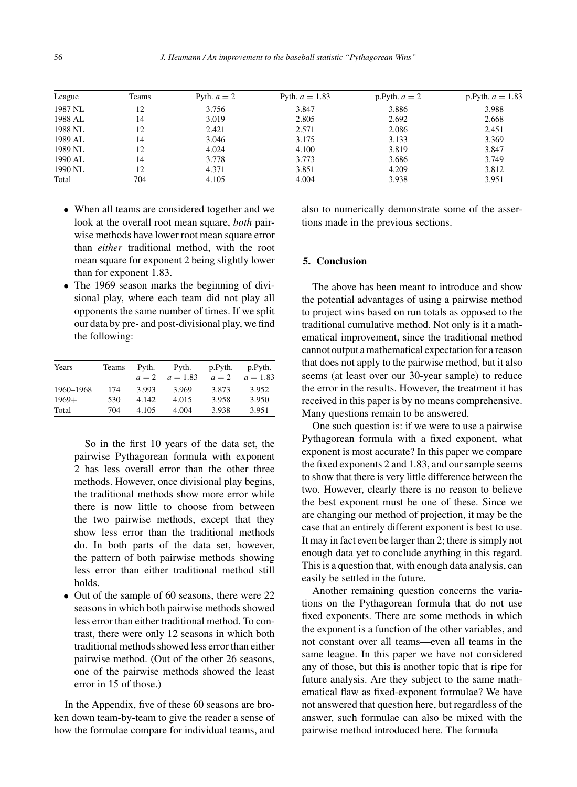| League  | Teams | Pyth. $a = 2$ | Pyth. $a = 1.83$ | p. Pyth. $a = 2$ | p. Pyth. $a = 1.83$ |
|---------|-------|---------------|------------------|------------------|---------------------|
| 1987 NL | 12    | 3.756         | 3.847            | 3.886            | 3.988               |
| 1988 AL | 14    | 3.019         | 2.805            | 2.692            | 2.668               |
| 1988 NL | 12    | 2.421         | 2.571            | 2.086            | 2.451               |
| 1989 AL | 14    | 3.046         | 3.175            | 3.133            | 3.369               |
| 1989 NL | 12    | 4.024         | 4.100            | 3.819            | 3.847               |
| 1990 AL | 14    | 3.778         | 3.773            | 3.686            | 3.749               |
| 1990 NL | 12    | 4.371         | 3.851            | 4.209            | 3.812               |
| Total   | 704   | 4.105         | 4.004            | 3.938            | 3.951               |

- When all teams are considered together and we look at the overall root mean square, *both* pairwise methods have lower root mean square error than *either* traditional method, with the root mean square for exponent 2 being slightly lower than for exponent 1.83.
- The 1969 season marks the beginning of divisional play, where each team did not play all opponents the same number of times. If we split our data by pre- and post-divisional play, we find the following:

| Years     | Teams | Pyth. | Pyth.      | p.Pyth. | p.Pyth.    |
|-----------|-------|-------|------------|---------|------------|
|           |       | $a=2$ | $a = 1.83$ | $a=2$   | $a = 1.83$ |
| 1960-1968 | 174   | 3.993 | 3.969      | 3.873   | 3.952      |
| $1969+$   | 530   | 4.142 | 4.015      | 3.958   | 3.950      |
| Total     | 704   | 4.105 | 4.004      | 3.938   | 3.951      |

So in the first 10 years of the data set, the pairwise Pythagorean formula with exponent 2 has less overall error than the other three methods. However, once divisional play begins, the traditional methods show more error while there is now little to choose from between the two pairwise methods, except that they show less error than the traditional methods do. In both parts of the data set, however, the pattern of both pairwise methods showing less error than either traditional method still holds.

• Out of the sample of 60 seasons, there were 22 seasons in which both pairwise methods showed less error than either traditional method. To contrast, there were only 12 seasons in which both traditional methods showed less error than either pairwise method. (Out of the other 26 seasons, one of the pairwise methods showed the least error in 15 of those.)

In the Appendix, five of these 60 seasons are broken down team-by-team to give the reader a sense of how the formulae compare for individual teams, and also to numerically demonstrate some of the assertions made in the previous sections.

# **5. Conclusion**

The above has been meant to introduce and show the potential advantages of using a pairwise method to project wins based on run totals as opposed to the traditional cumulative method. Not only is it a mathematical improvement, since the traditional method cannot output a mathematical expectation for a reason that does not apply to the pairwise method, but it also seems (at least over our 30-year sample) to reduce the error in the results. However, the treatment it has received in this paper is by no means comprehensive. Many questions remain to be answered.

One such question is: if we were to use a pairwise Pythagorean formula with a fixed exponent, what exponent is most accurate? In this paper we compare the fixed exponents 2 and 1.83, and our sample seems to show that there is very little difference between the two. However, clearly there is no reason to believe the best exponent must be one of these. Since we are changing our method of projection, it may be the case that an entirely different exponent is best to use. It may in fact even be larger than 2; there is simply not enough data yet to conclude anything in this regard. This is a question that, with enough data analysis, can easily be settled in the future.

Another remaining question concerns the variations on the Pythagorean formula that do not use fixed exponents. There are some methods in which the exponent is a function of the other variables, and not constant over all teams—even all teams in the same league. In this paper we have not considered any of those, but this is another topic that is ripe for future analysis. Are they subject to the same mathematical flaw as fixed-exponent formulae? We have not answered that question here, but regardless of the answer, such formulae can also be mixed with the pairwise method introduced here. The formula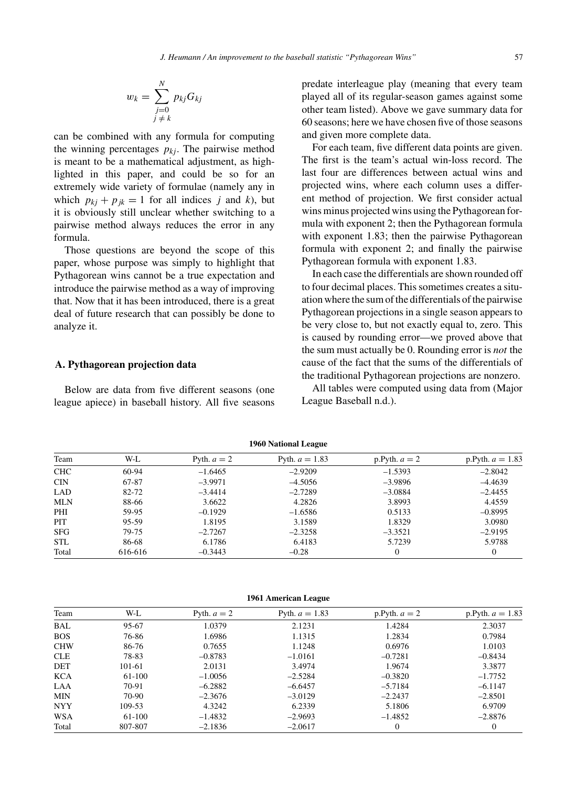$$
w_k = \sum_{\substack{j=0 \ j\neq k}}^N p_{kj} G_{kj}
$$

can be combined with any formula for computing the winning percentages  $p_{ki}$ . The pairwise method is meant to be a mathematical adjustment, as highlighted in this paper, and could be so for an extremely wide variety of formulae (namely any in which  $p_{kj} + p_{jk} = 1$  for all indices j and k), but it is obviously still unclear whether switching to a pairwise method always reduces the error in any formula.

Those questions are beyond the scope of this paper, whose purpose was simply to highlight that Pythagorean wins cannot be a true expectation and introduce the pairwise method as a way of improving that. Now that it has been introduced, there is a great deal of future research that can possibly be done to analyze it.

# **A. Pythagorean projection data**

Below are data from five different seasons (one league apiece) in baseball history. All five seasons

predate interleague play (meaning that every team played all of its regular-season games against some other team listed). Above we gave summary data for 60 seasons; here we have chosen five of those seasons and given more complete data.

For each team, five different data points are given. The first is the team's actual win-loss record. The last four are differences between actual wins and projected wins, where each column uses a different method of projection. We first consider actual wins minus projected wins using the Pythagorean formula with exponent 2; then the Pythagorean formula with exponent 1.83; then the pairwise Pythagorean formula with exponent 2; and finally the pairwise Pythagorean formula with exponent 1.83.

In each case the differentials are shown rounded off to four decimal places. This sometimes creates a situation where the sum of the differentials of the pairwise Pythagorean projections in a single season appears to be very close to, but not exactly equal to, zero. This is caused by rounding error—we proved above that the sum must actually be 0. Rounding error is *not* the cause of the fact that the sums of the differentials of the traditional Pythagorean projections are nonzero.

All tables were computed using data from (Major League Baseball n.d.).

|            | <b>1960 National League</b> |               |                  |                  |                     |  |  |
|------------|-----------------------------|---------------|------------------|------------------|---------------------|--|--|
| Team       | W-L                         | Pyth. $a = 2$ | Pyth. $a = 1.83$ | p. Pyth. $a = 2$ | p. Pyth. $a = 1.83$ |  |  |
| <b>CHC</b> | 60-94                       | $-1.6465$     | $-2.9209$        | $-1.5393$        | $-2.8042$           |  |  |
| <b>CIN</b> | 67-87                       | $-3.9971$     | $-4.5056$        | $-3.9896$        | $-4.4639$           |  |  |
| <b>LAD</b> | 82-72                       | $-3.4414$     | $-2.7289$        | $-3.0884$        | $-2.4455$           |  |  |
| <b>MLN</b> | 88-66                       | 3.6622        | 4.2826           | 3.8993           | 4.4559              |  |  |
| <b>PHI</b> | 59-95                       | $-0.1929$     | $-1.6586$        | 0.5133           | $-0.8995$           |  |  |
| <b>PIT</b> | 95-59                       | 1.8195        | 3.1589           | 1.8329           | 3.0980              |  |  |
| <b>SFG</b> | 79-75                       | $-2.7267$     | $-2.3258$        | $-3.3521$        | $-2.9195$           |  |  |
| <b>STL</b> | 86-68                       | 6.1786        | 6.4183           | 5.7239           | 5.9788              |  |  |
| Total      | 616-616                     | $-0.3443$     | $-0.28$          | 0                | $\Omega$            |  |  |

**1961 American League**

| Team       | W-L     | Pyth. $a = 2$ | Pyth. $a = 1.83$ | p. Pyth. $a = 2$ | p. Pyth. $a = 1.83$ |
|------------|---------|---------------|------------------|------------------|---------------------|
| BAL        | 95-67   | 1.0379        | 2.1231           | 1.4284           | 2.3037              |
| <b>BOS</b> | 76-86   | 1.6986        | 1.1315           | 1.2834           | 0.7984              |
| <b>CHW</b> | 86-76   | 0.7655        | 1.1248           | 0.6976           | 1.0103              |
| <b>CLE</b> | 78-83   | $-0.8783$     | $-1.0161$        | $-0.7281$        | $-0.8434$           |
| DET        | 101-61  | 2.0131        | 3.4974           | 1.9674           | 3.3877              |
| <b>KCA</b> | 61-100  | $-1.0056$     | $-2.5284$        | $-0.3820$        | $-1.7752$           |
| LAA        | 70-91   | $-6.2882$     | $-6.6457$        | $-5.7184$        | $-6.1147$           |
| <b>MIN</b> | 70-90   | $-2.3676$     | $-3.0129$        | $-2.2437$        | $-2.8501$           |
| <b>NYY</b> | 109-53  | 4.3242        | 6.2339           | 5.1806           | 6.9709              |
| <b>WSA</b> | 61-100  | $-1.4832$     | $-2.9693$        | $-1.4852$        | $-2.8876$           |
| Total      | 807-807 | $-2.1836$     | $-2.0617$        | $\Omega$         | 0                   |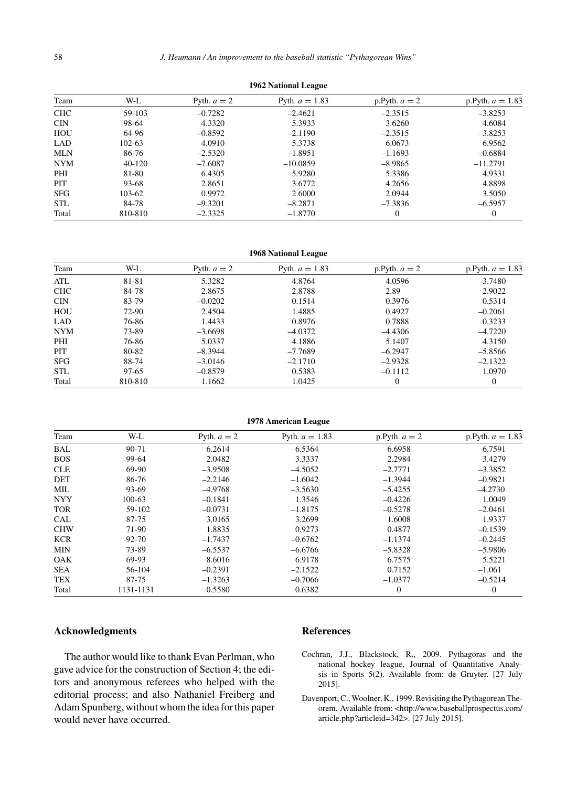|            |          |               | 1702 Rauvilai Lydguy |                  |                     |
|------------|----------|---------------|----------------------|------------------|---------------------|
| Team       | W-L      | Pyth. $a = 2$ | Pyth. $a = 1.83$     | p. Pyth. $a = 2$ | p. Pyth. $a = 1.83$ |
| <b>CHC</b> | 59-103   | $-0.7282$     | $-2.4621$            | $-2.3515$        | $-3.8253$           |
| <b>CIN</b> | 98-64    | 4.3320        | 5.3933               | 3.6260           | 4.6084              |
| HOU        | 64-96    | $-0.8592$     | $-2.1190$            | $-2.3515$        | $-3.8253$           |
| <b>LAD</b> | 102-63   | 4.0910        | 5.3738               | 6.0673           | 6.9562              |
| <b>MLN</b> | 86-76    | $-2.5320$     | $-1.8951$            | $-1.1693$        | $-0.6884$           |
| <b>NYM</b> | $40-120$ | $-7.6087$     | $-10.0859$           | $-8.9865$        | $-11.2791$          |
| PHI        | 81-80    | 6.4305        | 5.9280               | 5.3386           | 4.9331              |
| PIT        | 93-68    | 2.8651        | 3.6772               | 4.2656           | 4.8898              |
| <b>SFG</b> | 103-62   | 0.9972        | 2.6000               | 2.0944           | 3.5050              |
| <b>STL</b> | 84-78    | $-9.3201$     | $-8.2871$            | $-7.3836$        | $-6.5957$           |
| Total      | 810-810  | $-2.3325$     | $-1.8770$            | $\Omega$         | 0                   |

## **1962 National League**

**1968 National League**

| Team       | W-L     | Pyth. $a = 2$ | Pyth. $a = 1.83$ | p. Pyth. $a = 2$ | p. Pyth. $a = 1.83$ |
|------------|---------|---------------|------------------|------------------|---------------------|
| ATL        | 81-81   | 5.3282        | 4.8764           | 4.0596           | 3.7480              |
| <b>CHC</b> | 84-78   | 2.8675        | 2.8788           | 2.89             | 2.9022              |
| <b>CIN</b> | 83-79   | $-0.0202$     | 0.1514           | 0.3976           | 0.5314              |
| HOU        | 72-90   | 2.4504        | 1.4885           | 0.4927           | $-0.2061$           |
| <b>LAD</b> | 76-86   | 1.4433        | 0.8976           | 0.7888           | 0.3233              |
| <b>NYM</b> | 73-89   | $-3.6698$     | $-4.0372$        | $-4.4306$        | $-4.7220$           |
| PHI        | 76-86   | 5.0337        | 4.1886           | 5.1407           | 4.3150              |
| <b>PIT</b> | 80-82   | $-8.3944$     | $-7.7689$        | $-6.2947$        | $-5.8566$           |
| <b>SFG</b> | 88-74   | $-3.0146$     | $-2.1710$        | $-2.9328$        | $-2.1322$           |
| <b>STL</b> | 97-65   | $-0.8579$     | 0.5383           | $-0.1112$        | 1.0970              |
| Total      | 810-810 | 1.1662        | 1.0425           |                  | 0                   |

#### **1978 American League**

| Team       | W-L       | Pyth. $a = 2$ | Pyth. $a = 1.83$ | p. Pyth. $a = 2$ | p. Pyth. $a = 1.83$ |
|------------|-----------|---------------|------------------|------------------|---------------------|
| <b>BAL</b> | $90 - 71$ | 6.2614        | 6.5364           | 6.6958           | 6.7591              |
| <b>BOS</b> | 99-64     | 2.0482        | 3.3337           | 2.2984           | 3.4279              |
| <b>CLE</b> | 69-90     | $-3.9508$     | $-4.5052$        | $-2.7771$        | $-3.3852$           |
| DET        | 86-76     | $-2.2146$     | $-1.6042$        | $-1.3944$        | $-0.9821$           |
| MIL        | 93-69     | $-4.9768$     | $-3.5630$        | $-5.4255$        | $-4.2730$           |
| <b>NYY</b> | 100-63    | $-0.1841$     | 1.3546           | $-0.4226$        | 1.0049              |
| <b>TOR</b> | 59-102    | $-0.0731$     | $-1.8175$        | $-0.5278$        | $-2.0461$           |
| <b>CAL</b> | 87-75     | 3.0165        | 3.2699           | 1.6008           | 1.9337              |
| <b>CHW</b> | 71-90     | 1.8835        | 0.9273           | 0.4877           | $-0.1539$           |
| <b>KCR</b> | 92-70     | $-1.7437$     | $-0.6762$        | $-1.1374$        | $-0.2445$           |
| <b>MIN</b> | 73-89     | $-6.5537$     | $-6.6766$        | $-5.8328$        | $-5.9806$           |
| <b>OAK</b> | 69-93     | 8.6016        | 6.9178           | 6.7575           | 5.5221              |
| <b>SEA</b> | 56-104    | $-0.2391$     | $-2.1522$        | 0.7152           | $-1.061$            |
| TEX        | 87-75     | $-1.3263$     | $-0.7066$        | $-1.0377$        | $-0.5214$           |
| Total      | 1131-1131 | 0.5580        | 0.6382           | $\mathbf{0}$     | $\theta$            |

# **Acknowledgments**

The author would like to thank Evan Perlman, who gave advice for the construction of Section 4; the editors and anonymous referees who helped with the editorial process; and also Nathaniel Freiberg and Adam Spunberg, without whom the idea for this paper would never have occurred.

## **References**

- Cochran, J.J., Blackstock, R., 2009. Pythagoras and the national hockey league, Journal of Quantitative Analysis in Sports 5(2). Available from: de Gruyter. [27 July 2015].
- Davenport, C., Woolner, K., 1999. Revisiting the Pythagorean The-orem. Available from: [<http://www.baseballprospectus.com/](http://www.baseballprospectus.com/article.php?articleid=342) [article.php?articleid=342](http://www.baseballprospectus.com/article.php?articleid=342)>. [27 July 2015].